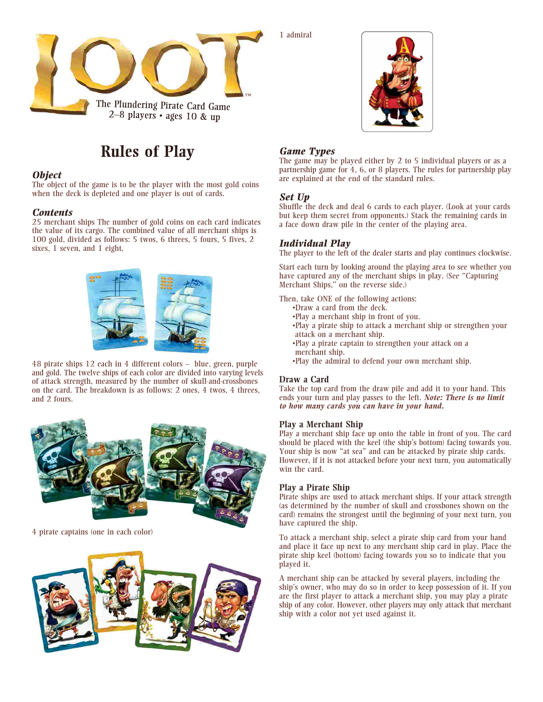

# **Rules of Play**

### *Object*

The object of the game is to be the player with the most gold coins when the deck is depleted and one player is out of cards.

## *Contents*

25 merchant ships The number of gold coins on each card indicates the value of its cargo. The combined value of all merchant ships is 100 gold, divided as follows: 5 twos, 6 threes, 5 fours, 5 fives, 2 sixes, 1 seven, and 1 eight.



48 pirate ships 12 each in 4 different colors – blue, green, purple and gold. The twelve ships of each color are divided into varying levels of attack strength, measured by the number of skull-and-crossbones on the card. The breakdown is as follows: 2 ones, 4 twos, 4 threes, and 2 fours.



4 pirate captains (one in each color)



1 admiral



#### *Game Types*

The game may be played either by 2 to 5 individual players or as a partnership game for 4, 6, or 8 players. The rules for partnership play are explained at the end of the standard rules.

## *Set Up*

Shuffle the deck and deal 6 cards to each player. (Look at your cards but keep them secret from opponents.) Stack the remaining cards in a face down draw pile in the center of the playing area.

# *Individual Play*

The player to the left of the dealer starts and play continues clockwise.

Start each turn by looking around the playing area to see whether you have captured any of the merchant ships in play. (See "Capturing Merchant Ships," on the reverse side.)

Then, take ONE of the following actions:

- •Draw a card from the deck.
- •Play a merchant ship in front of you.
- •Play a pirate ship to attack a merchant ship or strengthen your attack on a merchant ship.
- •Play a pirate captain to strengthen your attack on a
- merchant ship. •Play the admiral to defend your own merchant ship.

#### **Draw a Card**

Take the top card from the draw pile and add it to your hand. This ends your turn and play passes to the left. *Note: There is no limit to how many cards you can have in your hand.*

#### **Play a Merchant Ship**

Play a merchant ship face up onto the table in front of you. The card should be placed with the keel (the ship's bottom) facing towards you. Your ship is now "at sea" and can be attacked by pirate ship cards. However, if it is not attacked before your next turn, you automatically win the card.

#### **Play a Pirate Ship**

Pirate ships are used to attack merchant ships. If your attack strength (as determined by the number of skull and crossbones shown on the card) remains the strongest until the beginning of your next turn, you have captured the ship.

To attack a merchant ship, select a pirate ship card from your hand and place it face up next to any merchant ship card in play. Place the pirate ship keel (bottom) facing towards you so to indicate that you played it.

A merchant ship can be attacked by several players, including the ship's owner, who may do so in order to keep possession of it. If you are the first player to attack a merchant ship, you may play a pirate ship of any color. However, other players may only attack that merchant ship with a color not yet used against it.